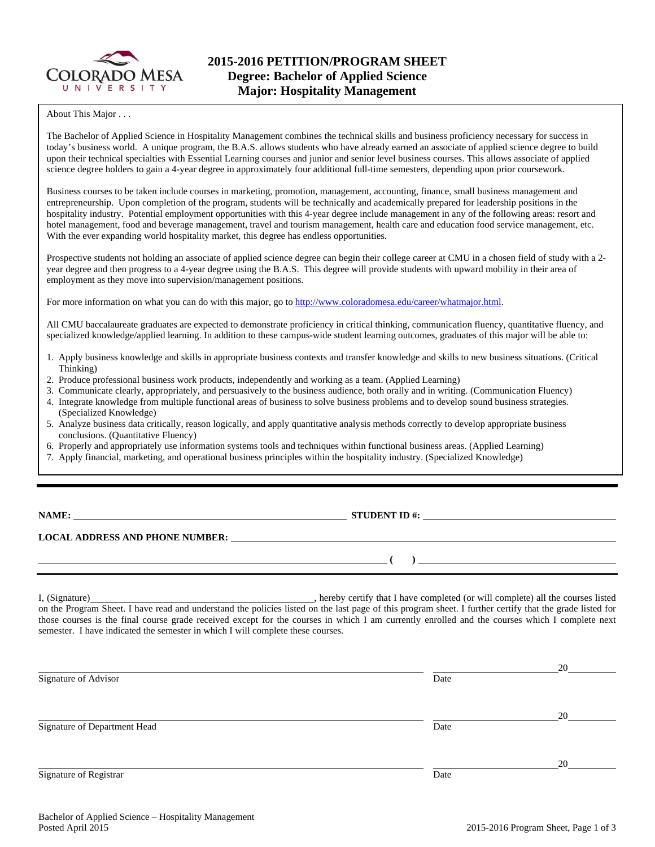

#### About This Major . . .

The Bachelor of Applied Science in Hospitality Management combines the technical skills and business proficiency necessary for success in today's business world. A unique program, the B.A.S. allows students who have already earned an associate of applied science degree to build upon their technical specialties with Essential Learning courses and junior and senior level business courses. This allows associate of applied science degree holders to gain a 4-year degree in approximately four additional full-time semesters, depending upon prior coursework.

Business courses to be taken include courses in marketing, promotion, management, accounting, finance, small business management and entrepreneurship. Upon completion of the program, students will be technically and academically prepared for leadership positions in the hospitality industry. Potential employment opportunities with this 4-year degree include management in any of the following areas: resort and hotel management, food and beverage management, travel and tourism management, health care and education food service management, etc. With the ever expanding world hospitality market, this degree has endless opportunities.

Prospective students not holding an associate of applied science degree can begin their college career at CMU in a chosen field of study with a 2 year degree and then progress to a 4-year degree using the B.A.S. This degree will provide students with upward mobility in their area of employment as they move into supervision/management positions.

For more information on what you can do with this major, go to http://www.coloradomesa.edu/career/whatmajor.html.

All CMU baccalaureate graduates are expected to demonstrate proficiency in critical thinking, communication fluency, quantitative fluency, and specialized knowledge/applied learning. In addition to these campus-wide student learning outcomes, graduates of this major will be able to:

- 1. Apply business knowledge and skills in appropriate business contexts and transfer knowledge and skills to new business situations. (Critical Thinking)
- 2. Produce professional business work products, independently and working as a team. (Applied Learning)
- 3. Communicate clearly, appropriately, and persuasively to the business audience, both orally and in writing. (Communication Fluency)
- 4. Integrate knowledge from multiple functional areas of business to solve business problems and to develop sound business strategies. (Specialized Knowledge)
- 5. Analyze business data critically, reason logically, and apply quantitative analysis methods correctly to develop appropriate business conclusions. (Quantitative Fluency)
- 6. Properly and appropriately use information systems tools and techniques within functional business areas. (Applied Learning)
- 7. Apply financial, marketing, and operational business principles within the hospitality industry. (Specialized Knowledge)

| <b>NAME:</b> |  |  |
|--------------|--|--|
|--------------|--|--|

**STUDENT ID #:** 

 **( )** 

# **LOCAL ADDRESS AND PHONE NUMBER:**

I, (Signature) , hereby certify that I have completed (or will complete) all the courses listed on the Program Sheet. I have read and understand the policies listed on the last page of this program sheet. I further certify that the grade listed for those courses is the final course grade received except for the courses in which I am currently enrolled and the courses which I complete next semester. I have indicated the semester in which I will complete these courses.

|                              |      | 20 |
|------------------------------|------|----|
| Signature of Advisor         | Date |    |
|                              |      | 20 |
| Signature of Department Head | Date |    |
|                              |      | 20 |
| Signature of Registrar       | Date |    |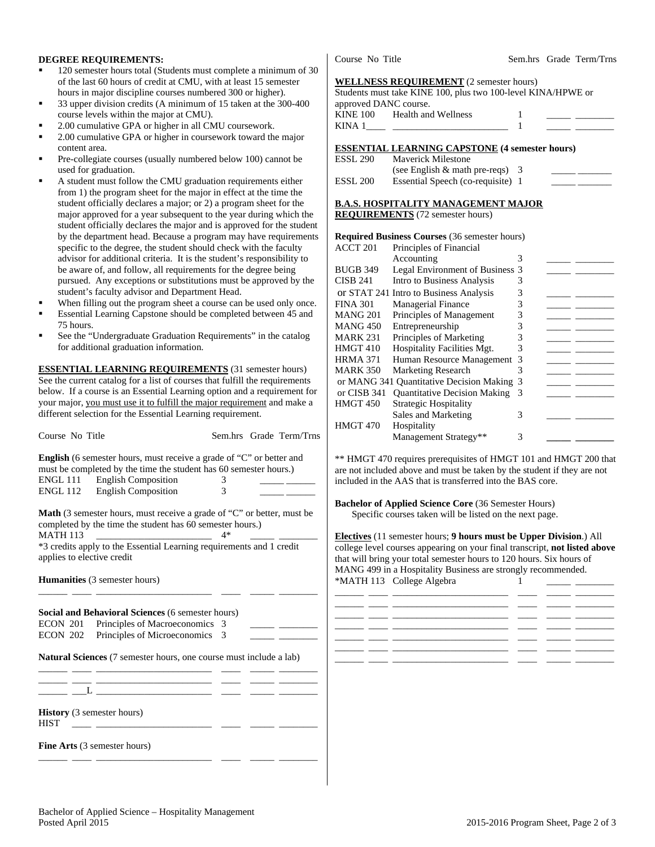## **DEGREE REQUIREMENTS:**

- 120 semester hours total (Students must complete a minimum of 30 of the last 60 hours of credit at CMU, with at least 15 semester hours in major discipline courses numbered 300 or higher).
- 33 upper division credits (A minimum of 15 taken at the 300-400 course levels within the major at CMU).
- 2.00 cumulative GPA or higher in all CMU coursework.
- 2.00 cumulative GPA or higher in coursework toward the major content area.
- Pre-collegiate courses (usually numbered below 100) cannot be used for graduation.
- A student must follow the CMU graduation requirements either from 1) the program sheet for the major in effect at the time the student officially declares a major; or 2) a program sheet for the major approved for a year subsequent to the year during which the student officially declares the major and is approved for the student by the department head. Because a program may have requirements specific to the degree, the student should check with the faculty advisor for additional criteria. It is the student's responsibility to be aware of, and follow, all requirements for the degree being pursued. Any exceptions or substitutions must be approved by the student's faculty advisor and Department Head.
- When filling out the program sheet a course can be used only once.
- Essential Learning Capstone should be completed between 45 and 75 hours.
- See the "Undergraduate Graduation Requirements" in the catalog for additional graduation information.

**ESSENTIAL LEARNING REQUIREMENTS** (31 semester hours) See the current catalog for a list of courses that fulfill the requirements below. If a course is an Essential Learning option and a requirement for your major, you must use it to fulfill the major requirement and make a different selection for the Essential Learning requirement.

| Course No Title                                                                                                                                               |      | Sem.hrs Grade Term/Trns |
|---------------------------------------------------------------------------------------------------------------------------------------------------------------|------|-------------------------|
| English (6 semester hours, must receive a grade of "C" or better and<br>must be completed by the time the student has 60 semester hours.)                     |      |                         |
| ENGL 111 English Composition                                                                                                                                  | 3    |                         |
| ENGL 112 English Composition                                                                                                                                  | 3    |                         |
| <b>Math</b> (3 semester hours, must receive a grade of "C" or better, must be<br>completed by the time the student has 60 semester hours.)<br><b>MATH 113</b> | $4*$ |                         |
| *3 credits apply to the Essential Learning requirements and 1 credit<br>applies to elective credit                                                            |      |                         |
| <b>Humanities</b> (3 semester hours)                                                                                                                          |      |                         |
| Social and Behavioral Sciences (6 semester hours)                                                                                                             |      |                         |
| Principles of Macroeconomics 3<br>ECON 201                                                                                                                    |      |                         |
| Principles of Microeconomics 3<br>ECON 202                                                                                                                    |      |                         |
| <b>Natural Sciences</b> (7 semester hours, one course must include a lab)                                                                                     |      |                         |
|                                                                                                                                                               |      |                         |
|                                                                                                                                                               |      |                         |
| <b>History</b> (3 semester hours)<br><b>HIST</b><br><u> 1989 - Alexandr Alexandr III, poet</u>                                                                |      |                         |
| <b>Fine Arts</b> (3 semester hours)                                                                                                                           |      |                         |
|                                                                                                                                                               |      |                         |

Course No Title Sem.hrs Grade Term/Trns

### **WELLNESS REQUIREMENT** (2 semester hours)

|                       | Students must take KINE 100, plus two 100-level KINA/HPWE or |  |  |
|-----------------------|--------------------------------------------------------------|--|--|
| approved DANC course. |                                                              |  |  |
| KINE 100              | Health and Wellness                                          |  |  |
| KINA 1                |                                                              |  |  |

### **ESSENTIAL LEARNING CAPSTONE (4 semester hours)**

| ESSL 290 | <b>Maverick Milestone</b>          |  |
|----------|------------------------------------|--|
|          | (see English $\&$ math pre-reqs) 3 |  |
| ESSL 200 | Essential Speech (co-requisite) 1  |  |

### **B.A.S. HOSPITALITY MANAGEMENT MAJOR**

**REQUIREMENTS** (72 semester hours)

### **Required Business Courses** (36 semester hours)

| <b>ACCT 201</b> | Principles of Financial                  |   |  |
|-----------------|------------------------------------------|---|--|
|                 | Accounting                               | 3 |  |
| <b>BUGB 349</b> | Legal Environment of Business 3          |   |  |
| <b>CISB 241</b> | Intro to Business Analysis               | 3 |  |
|                 | or STAT 241 Intro to Business Analysis   | 3 |  |
| <b>FINA 301</b> | Managerial Finance                       | 3 |  |
| <b>MANG 201</b> | Principles of Management                 | 3 |  |
| <b>MANG 450</b> | Entrepreneurship                         | 3 |  |
| <b>MARK 231</b> | Principles of Marketing                  | 3 |  |
| <b>HMGT 410</b> | <b>Hospitality Facilities Mgt.</b>       | 3 |  |
| <b>HRMA 371</b> | Human Resource Management                | 3 |  |
| <b>MARK 350</b> | <b>Marketing Research</b>                | 3 |  |
|                 | or MANG 341 Quantitative Decision Making | 3 |  |
| or CISB 341     | <b>Quantitative Decision Making</b>      | 3 |  |
| <b>HMGT 450</b> | <b>Strategic Hospitality</b>             |   |  |
|                 | Sales and Marketing                      | 3 |  |
| <b>HMGT 470</b> | Hospitality                              |   |  |
|                 | Management Strategy**                    | 3 |  |

\*\* HMGT 470 requires prerequisites of HMGT 101 and HMGT 200 that are not included above and must be taken by the student if they are not included in the AAS that is transferred into the BAS core.

**Bachelor of Applied Science Core** (36 Semester Hours) Specific courses taken will be listed on the next page.

**Electives** (11 semester hours; **9 hours must be Upper Division**.) All college level courses appearing on your final transcript, **not listed above** that will bring your total semester hours to 120 hours. Six hours of MANG 499 in a Hospitality Business are strongly recommended. \*MATH 113 College Algebra 1